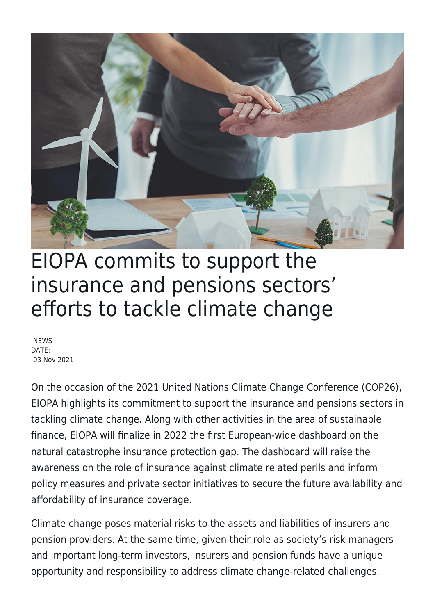

## EIOPA commits to support the insurance and pensions sectors' efforts to tackle climate change

**NEWS** DATE: 03 Nov 2021

On the occasion of the 2021 United Nations Climate Change Conference (COP26), EIOPA highlights its commitment to support the insurance and pensions sectors in tackling climate change. Along with other activities in the area of sustainable finance, EIOPA will finalize in 2022 the first European-wide dashboard on the natural catastrophe insurance protection gap. The dashboard will raise the awareness on the role of insurance against climate related perils and inform policy measures and private sector initiatives to secure the future availability and affordability of insurance coverage.

Climate change poses material risks to the assets and liabilities of insurers and pension providers. At the same time, given their role as society's risk managers and important long-term investors, insurers and pension funds have a unique opportunity and responsibility to address climate change-related challenges.